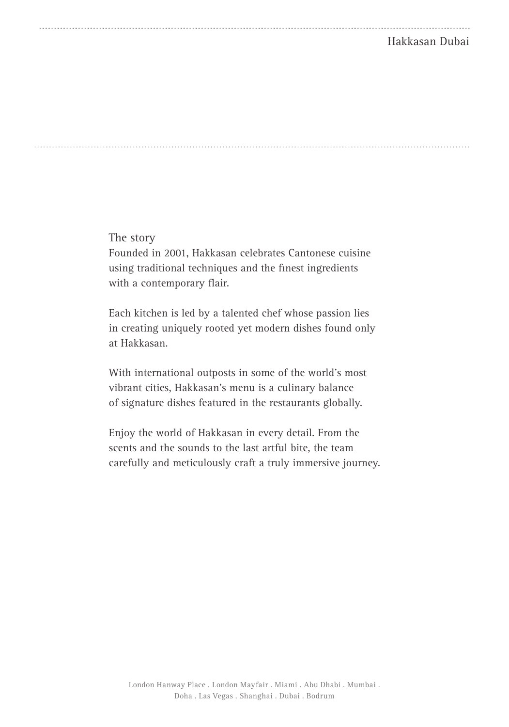## Hakkasan Dubai

The story

Founded in 2001, Hakkasan celebrates Cantonese cuisine using traditional techniques and the finest ingredients with a contemporary flair.

Each kitchen is led by a talented chef whose passion lies in creating uniquely rooted yet modern dishes found only at Hakkasan.

With international outposts in some of the world's most vibrant cities, Hakkasan's menu is a culinary balance of signature dishes featured in the restaurants globally.

Enjoy the world of Hakkasan in every detail. From the scents and the sounds to the last artful bite, the team carefully and meticulously craft a truly immersive journey.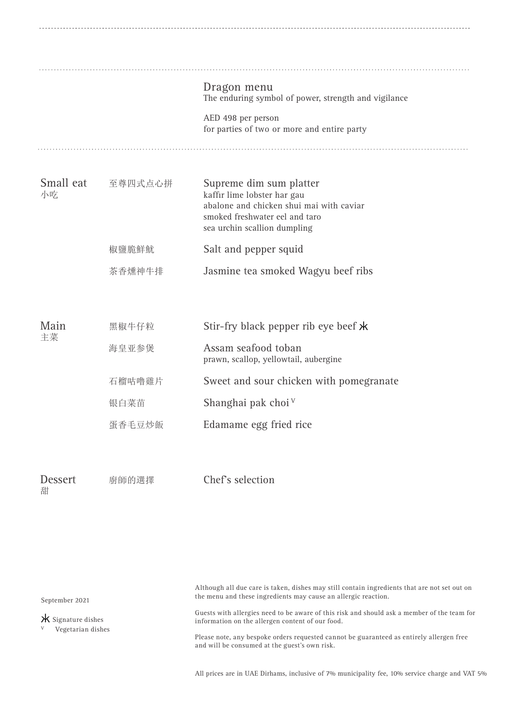|                     |         | Dragon menu<br>The enduring symbol of power, strength and vigilance                                                                                                  |
|---------------------|---------|----------------------------------------------------------------------------------------------------------------------------------------------------------------------|
|                     |         | AED 498 per person<br>for parties of two or more and entire party                                                                                                    |
| Small eat<br>小吃     | 至尊四式点心拼 | Supreme dim sum platter<br>kaffir lime lobster har gau<br>abalone and chicken shui mai with caviar<br>smoked freshwater eel and taro<br>sea urchin scallion dumpling |
|                     | 椒鹽脆鮮魷   | Salt and pepper squid                                                                                                                                                |
|                     | 茶香燻神牛排  | Jasmine tea smoked Wagyu beef ribs                                                                                                                                   |
| Main                | 黑椒牛仔粒   | Stir-fry black pepper rib eye beef *                                                                                                                                 |
| 主菜                  | 海皇亚参煲   | Assam seafood toban<br>prawn, scallop, yellowtail, aubergine                                                                                                         |
|                     | 石榴咕噜雞片  | Sweet and sour chicken with pomegranate                                                                                                                              |
|                     | 银白菜苗    | Shanghai pak choi V                                                                                                                                                  |
|                     | 蛋香毛豆炒飯  | Edamame egg fried rice                                                                                                                                               |
| <b>Dessert</b><br>甜 | 廚師的選擇   | Chef's selection                                                                                                                                                     |

September 2021

Although all due care is taken, dishes may still contain ingredients that are not set out on the menu and these ingredients may cause an allergic reaction.

 $\star$  Signature dishes

V Vegetarian dishes

Guests with allergies need to be aware of this risk and should ask a member of the team for information on the allergen content of our food.

Please note, any bespoke orders requested cannot be guaranteed as entirely allergen free and will be consumed at the guest's own risk.

All prices are in UAE Dirhams, inclusive of 7% municipality fee, 10% service charge and VAT 5%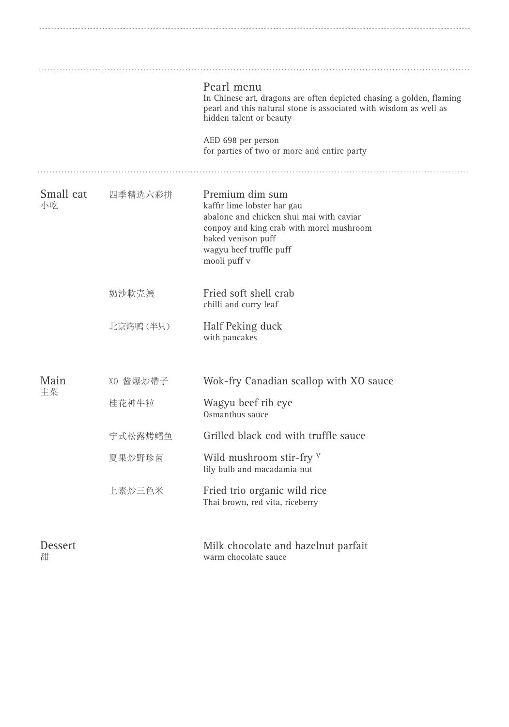|                     |          | Pearl menu<br>In Chinese art, dragons are often depicted chasing a golden, flaming<br>pearl and this natural stone is associated with wisdom as well as<br>hidden talent or beauty                      |
|---------------------|----------|---------------------------------------------------------------------------------------------------------------------------------------------------------------------------------------------------------|
|                     |          | AED 698 per person<br>for parties of two or more and entire party                                                                                                                                       |
| Small eat<br>小吃     | 四季精选六彩拼  | Premium dim sum<br>kaffir lime lobster har gau<br>abalone and chicken shui mai with caviar<br>conpoy and king crab with morel mushroom<br>baked venison puff<br>wagyu beef truffle puff<br>mooli puff v |
|                     | 奶沙軟壳蟹    | Fried soft shell crab<br>chilli and curry leaf                                                                                                                                                          |
|                     | 北京烤鸭(半只) | Half Peking duck<br>with pancakes                                                                                                                                                                       |
| Main                | XO 酱爆炒帶子 | Wok-fry Canadian scallop with XO sauce                                                                                                                                                                  |
| 主菜                  | 桂花神牛粒    | Wagyu beef rib eye<br>Osmanthus sauce                                                                                                                                                                   |
|                     | 宁式松露烤鳕鱼  | Grilled black cod with truffle sauce                                                                                                                                                                    |
|                     | 夏果炒野珍菌   | Wild mushroom stir-fry V<br>lily bulb and macadamia nut                                                                                                                                                 |
|                     | 上素炒三色米   | Fried trio organic wild rice<br>Thai brown, red vita, riceberry                                                                                                                                         |
| <b>Dessert</b><br>甜 |          | Milk chocolate and hazelnut parfait<br>warm chocolate sauce                                                                                                                                             |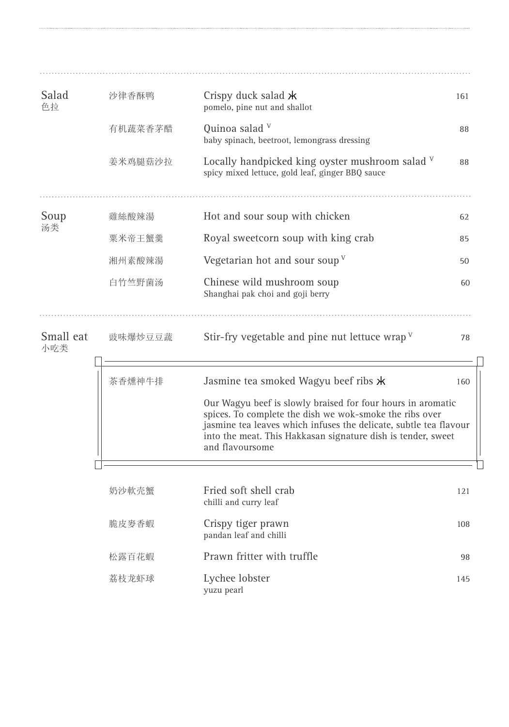| Salad<br>色拉      | 沙律香酥鸭   | Crispy duck salad $\star$<br>pomelo, pine nut and shallot                                                                                                                                                                                                                                                              | 161 |
|------------------|---------|------------------------------------------------------------------------------------------------------------------------------------------------------------------------------------------------------------------------------------------------------------------------------------------------------------------------|-----|
|                  | 有机蔬菜香茅醋 | Quinoa salad V<br>baby spinach, beetroot, lemongrass dressing                                                                                                                                                                                                                                                          | 88  |
|                  | 姜米鸡腿菇沙拉 | Locally handpicked king oyster mushroom salad $V$<br>spicy mixed lettuce, gold leaf, ginger BBQ sauce                                                                                                                                                                                                                  | 88  |
| Soup             | 雞絲酸辣湯   | Hot and sour soup with chicken                                                                                                                                                                                                                                                                                         | 62  |
| 汤类               | 粟米帝王蟹羹  | Royal sweetcorn soup with king crab                                                                                                                                                                                                                                                                                    | 85  |
|                  | 湘州素酸辣湯  | Vegetarian hot and sour soup $V$                                                                                                                                                                                                                                                                                       | 50  |
|                  | 白竹竺野菌汤  | Chinese wild mushroom soup<br>Shanghai pak choi and goji berry                                                                                                                                                                                                                                                         | 60  |
| Small eat<br>小吃类 | 豉味爆炒豆豆蔬 | Stir-fry vegetable and pine nut lettuce wrap $V$                                                                                                                                                                                                                                                                       | 78  |
|                  | 茶香燻神牛排  | Jasmine tea smoked Wagyu beef ribs *<br>Our Wagyu beef is slowly braised for four hours in aromatic<br>spices. To complete the dish we wok-smoke the ribs over<br>jasmine tea leaves which infuses the delicate, subtle tea flavour<br>into the meat. This Hakkasan signature dish is tender, sweet<br>and flavoursome | 160 |
|                  |         |                                                                                                                                                                                                                                                                                                                        |     |
|                  | 奶沙軟壳解   | Fried soft shell crab<br>chilli and curry leaf                                                                                                                                                                                                                                                                         | 121 |
|                  | 脆皮麥香蝦   | Crispy tiger prawn<br>pandan leaf and chilli                                                                                                                                                                                                                                                                           | 108 |
|                  | 松露百花蝦   | Prawn fritter with truffle                                                                                                                                                                                                                                                                                             | 98  |
|                  | 荔枝龙虾球   | Lychee lobster<br>yuzu pearl                                                                                                                                                                                                                                                                                           | 145 |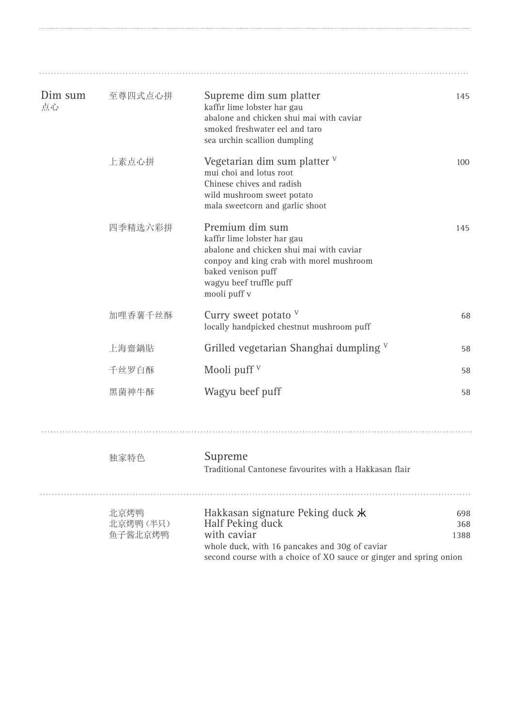| Dim sum<br>点心 | 至尊四式点心拼                     | Supreme dim sum platter<br>kaffir lime lobster har gau<br>abalone and chicken shui mai with caviar<br>smoked freshwater eel and taro<br>sea urchin scallion dumpling                                    | 145                |
|---------------|-----------------------------|---------------------------------------------------------------------------------------------------------------------------------------------------------------------------------------------------------|--------------------|
|               | 上素点心拼                       | Vegetarian dim sum platter $V$<br>mui choi and lotus root<br>Chinese chives and radish<br>wild mushroom sweet potato<br>mala sweetcorn and garlic shoot                                                 | 100                |
|               | 四季精选六彩拼                     | Premium dim sum<br>kaffir lime lobster har gau<br>abalone and chicken shui mai with caviar<br>conpoy and king crab with morel mushroom<br>baked venison puff<br>wagyu beef truffle puff<br>mooli puff v | 145                |
|               | 加哩香薯千丝酥                     | Curry sweet potato V<br>locally handpicked chestnut mushroom puff                                                                                                                                       | 68                 |
|               | 上海齋鍋貼                       | Grilled vegetarian Shanghai dumpling V                                                                                                                                                                  | 58                 |
|               | 千丝罗白酥                       | Mooli puff $V$                                                                                                                                                                                          | 58                 |
|               | 黑菌神牛酥                       | Wagyu beef puff                                                                                                                                                                                         | 58                 |
|               | 独家特色                        | Supreme<br>Traditional Cantonese favourites with a Hakkasan flair                                                                                                                                       |                    |
|               | 北京烤鸭<br>北京烤鸭(半只)<br>鱼子酱北京烤鸭 | Hakkasan signature Peking duck *<br>Half Peking duck<br>with caviar<br>whole duck, with 16 pancakes and 30g of caviar<br>second course with a choice of XO sauce or ginger and spring onion             | 698<br>368<br>1388 |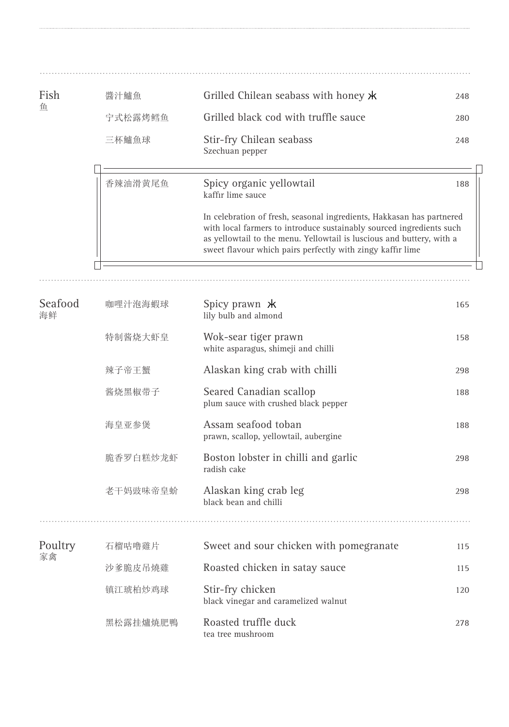| Fish          | 醬汁鱸魚     | Grilled Chilean seabass with honey $\star$                                                                                                                                                                                                                                           | 248 |
|---------------|----------|--------------------------------------------------------------------------------------------------------------------------------------------------------------------------------------------------------------------------------------------------------------------------------------|-----|
| 鱼             | 宁式松露烤鳕鱼  | Grilled black cod with truffle sauce                                                                                                                                                                                                                                                 | 280 |
|               | 三杯鱸魚球    | Stir-fry Chilean seabass<br>Szechuan pepper                                                                                                                                                                                                                                          | 248 |
|               | 香辣油滑黄尾鱼  | Spicy organic yellowtail<br>kaffir lime sauce                                                                                                                                                                                                                                        | 188 |
|               |          | In celebration of fresh, seasonal ingredients, Hakkasan has partnered<br>with local farmers to introduce sustainably sourced ingredients such<br>as yellowtail to the menu. Yellowtail is luscious and buttery, with a<br>sweet flavour which pairs perfectly with zingy kaffir lime |     |
|               |          |                                                                                                                                                                                                                                                                                      |     |
| Seafood<br>海鲜 | 咖哩汁泡海蝦球  | Spicy prawn $\star$<br>lily bulb and almond                                                                                                                                                                                                                                          | 165 |
|               | 特制酱烧大虾皇  | Wok-sear tiger prawn<br>white asparagus, shimeji and chilli                                                                                                                                                                                                                          | 158 |
|               | 辣子帝王蟹    | Alaskan king crab with chilli                                                                                                                                                                                                                                                        | 298 |
|               | 酱烧黑椒带子   | Seared Canadian scallop<br>plum sauce with crushed black pepper                                                                                                                                                                                                                      | 188 |
|               | 海皇亚参煲    | Assam seafood toban<br>prawn, scallop, yellowtail, aubergine                                                                                                                                                                                                                         | 188 |
|               | 脆香罗白糕炒龙虾 | Boston lobster in chilli and garlic<br>radish cake                                                                                                                                                                                                                                   | 298 |
|               | 老干妈豉味帝皇蚧 | Alaskan king crab leg<br>black bean and chilli                                                                                                                                                                                                                                       | 298 |
| Poultry       | 石榴咕噜雞片   | Sweet and sour chicken with pomegranate                                                                                                                                                                                                                                              | 115 |
| 家禽            | 沙爹脆皮吊燒雞  | Roasted chicken in satay sauce                                                                                                                                                                                                                                                       | 115 |
|               | 镇江琥柏炒鸡球  | Stir-fry chicken<br>black vinegar and caramelized walnut                                                                                                                                                                                                                             | 120 |
|               | 黑松露挂爐焼肥鴨 | Roasted truffle duck<br>tea tree mushroom                                                                                                                                                                                                                                            | 278 |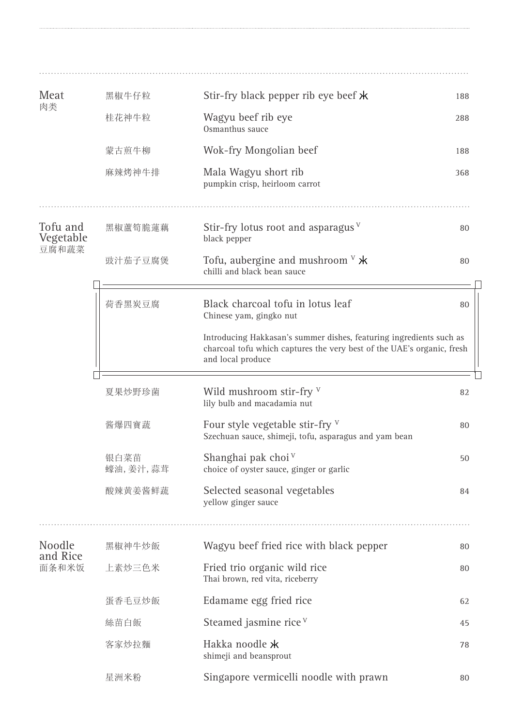| Meat                  | 黑椒牛仔粒            | Stir-fry black pepper rib eye beef $\star$                                                                                                                         | 188 |
|-----------------------|------------------|--------------------------------------------------------------------------------------------------------------------------------------------------------------------|-----|
| 肉类                    | 桂花神牛粒            | Wagyu beef rib eye<br>Osmanthus sauce                                                                                                                              | 288 |
|                       | 蒙古煎牛柳            | Wok-fry Mongolian beef                                                                                                                                             | 188 |
|                       | 麻辣烤神牛排           | Mala Wagyu short rib<br>pumpkin crisp, heirloom carrot                                                                                                             | 368 |
| Tofu and<br>Vegetable | 黑椒蘆筍脆蓮藕          | Stir-fry lotus root and asparagus $V$<br>black pepper                                                                                                              | 80  |
| 豆腐和蔬菜                 | 豉汁茄子豆腐煲          | Tofu, aubergine and mushroom $V \times$<br>chilli and black bean sauce                                                                                             | 80  |
|                       | 荷香黑炭豆腐           | Black charcoal tofu in lotus leaf<br>Chinese yam, gingko nut                                                                                                       | 80  |
|                       |                  | Introducing Hakkasan's summer dishes, featuring ingredients such as<br>charcoal tofu which captures the very best of the UAE's organic, fresh<br>and local produce |     |
|                       | 夏果炒野珍菌           | Wild mushroom stir-fry V<br>lily bulb and macadamia nut                                                                                                            | 82  |
|                       | 酱爆四寶蔬            | Four style vegetable stir-fry $V$<br>Szechuan sauce, shimeji, tofu, asparagus and yam bean                                                                         | 80  |
|                       | 银白菜苗<br>蠔油,姜汁,蒜茸 | Shanghai pak choi V<br>choice of oyster sauce, ginger or garlic                                                                                                    | 50  |
|                       | 酸辣黄姜酱鲜蔬          | Selected seasonal vegetables<br>yellow ginger sauce                                                                                                                | 84  |
| Noodle                | 黑椒神牛炒飯           | Wagyu beef fried rice with black pepper                                                                                                                            | 80  |
| and Rice<br>面条和米饭     | 上素炒三色米           | Fried trio organic wild rice<br>Thai brown, red vita, riceberry                                                                                                    | 80  |
|                       | 蛋香毛豆炒飯           | Edamame egg fried rice                                                                                                                                             | 62  |
|                       | 絲苗白飯             | Steamed jasmine rice <sup>v</sup>                                                                                                                                  | 45  |
|                       | 客家炒拉麵            | Hakka noodle *<br>shimeji and beansprout                                                                                                                           | 78  |
|                       | 星洲米粉             | Singapore vermicelli noodle with prawn                                                                                                                             | 80  |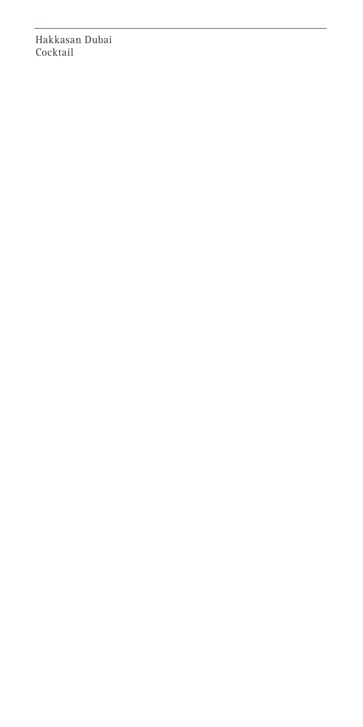Hakkasan Dubai Cocktail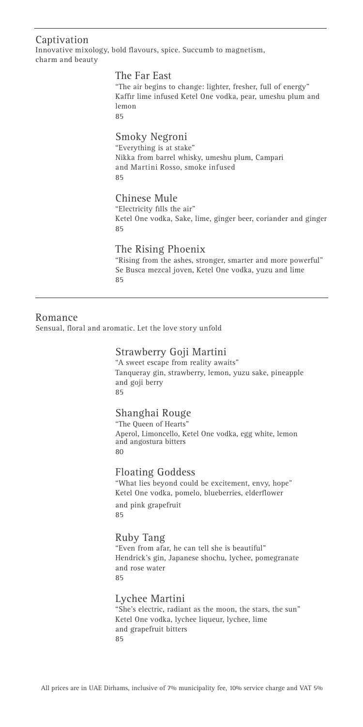#### Captivation

Innovative mixology, bold flavours, spice. Succumb to magnetism, charm and beauty

#### The Far East

"The air begins to change: lighter, fresher, full of energy" Kaffir lime infused Ketel One vodka, pear, umeshu plum and lemon 85

## Smoky Negroni

"Everything is at stake" Nikka from barrel whisky, umeshu plum, Campari and Martini Rosso, smoke infused  $85$ 

## Chinese Mule

"Electricity fills the air" Ketel One vodka, Sake, lime, ginger beer, coriander and ginger 85

#### The Rising Phoenix

"Rising from the ashes, stronger, smarter and more powerful" Se Busca mezcal joven, Ketel One vodka, yuzu and lime 85

#### Romance

Sensual, floral and aromatic. Let the love story unfold

#### Strawberry Goji Martini

"A sweet escape from reality awaits" Tanqueray gin, strawberry, lemon, yuzu sake, pineapple and goji berry 85

#### Shanghai Rouge

"The Queen of Hearts" Aperol, Limoncello, Ketel One vodka, egg white, lemon and angostura bitters 80

#### Floating Goddess

"What lies beyond could be excitement, envy, hope" Ketel One vodka, pomelo, blueberries, elderflower and pink grapefruit 85

## Ruby Tang

"Even from afar, he can tell she is beautiful" Hendrick's gin, Japanese shochu, lychee, pomegranate and rose water  $95$ 

#### Lychee Martini

"She's electric, radiant as the moon, the stars, the sun" Ketel One vodka, lychee liqueur, lychee, lime and grapefruit bitters 85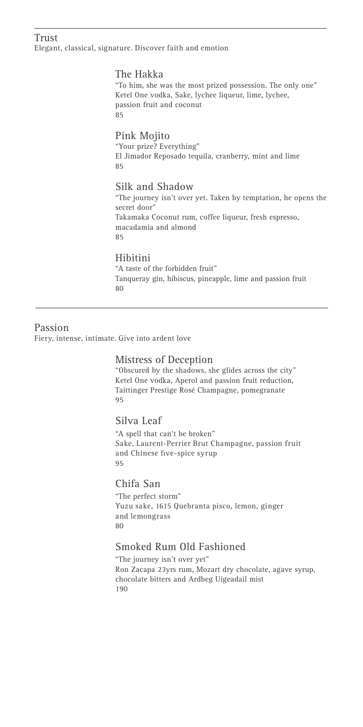#### Trust

Elegant, classical, signature. Discover faith and emotion

#### The Hakka

"To him, she was the most prized possession. The only one" Ketel One vodka, Sake, lychee liqueur, lime, lychee, passion fruit and coconut 85

#### Pink Mojito

"Your prize? Everything" El Jimador Reposado tequila, cranberry, mint and lime 85

#### Silk and Shadow

"The journey isn't over yet. Taken by temptation, he opens the secret door" Takamaka Coconut rum, coffee liqueur, fresh espresso, macadamia and almond 85

#### Hibitini

"A taste of the forbidden fruit" Tanqueray gin, hibiscus, pineapple, lime and passion fruit 80

#### Passion

Fiery, intense, intimate. Give into ardent love

#### Mistress of Deception

"Obscured by the shadows, she glides across the city" Ketel One vodka, Aperol and passion fruit reduction, Taittinger Prestige Rosé Champagne, pomegranate 95

#### Silva Leaf

"A spell that can't be broken" Sake, Laurent-Perrier Brut Champagne, passion fruit and Chinese five-spice syrup 95

#### Chifa San

"The perfect storm" Yuzu sake, 1615 Quebranta pisco, lemon, ginger and lemongrass 80

## Smoked Rum Old Fashioned

"The journey isn't over yet" Ron Zacapa 23yrs rum, Mozart dry chocolate, agave syrup, chocolate bitters and Ardbeg Uigeadail mist 190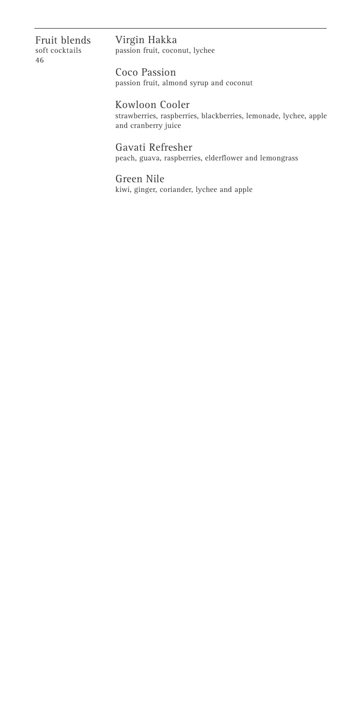Fruit blends soft cocktails 46

#### Virgin Hakka passion fruit, coconut, lychee

Coco Passion passion fruit, almond syrup and coconut

Kowloon Cooler strawberries, raspberries, blackberries, lemonade, lychee, apple and cranberry juice

Gavati Refresher peach, guava, raspberries, elderflower and lemongrass

Green Nile kiwi, ginger, coriander, lychee and apple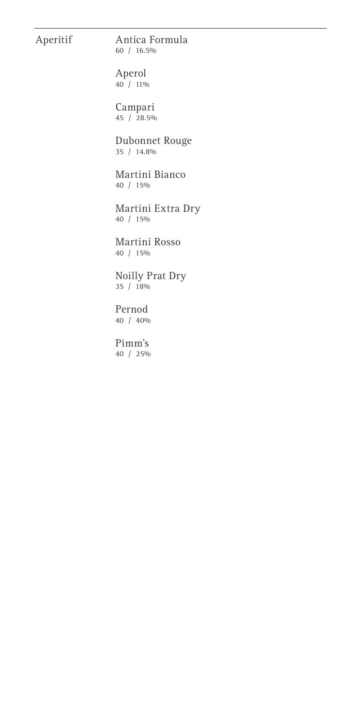## Aperitif

# Antica Formula

60 / 16.5%

Aperol  $40 / 11\%$ 

Campari 45 / 28.5%

Dubonnet Rouge 35 / 14.8%

Martini Bianco 40 / 15%

Martini Extra Dry 40 / 15%

Martini Rosso 40 / 15%

Noilly Prat Dry 35 / 18%

Pernod 40 / 40%

Pimm's 40 / 25%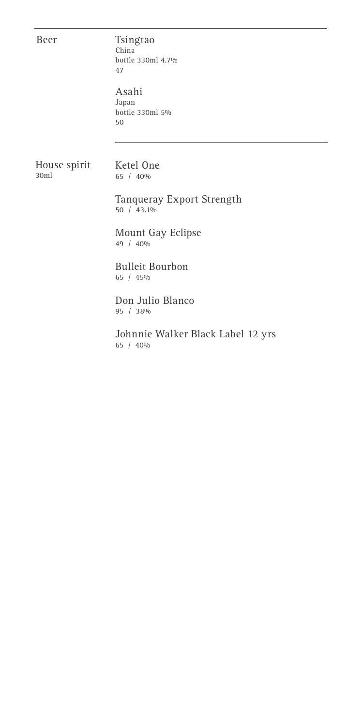Beer

## Tsingtao

China bottle 330ml 4.7% 47

Asahi Japan bottle 330ml 5% 50

House spirit 30ml

Ketel One 65 / 40%

Tanqueray Export Strength 50 / 43.1%

Mount Gay Eclipse 49 / 40%

Bulleit Bourbon 65 / 45%

Don Julio Blanco 95 / 38%

Johnnie Walker Black Label 12 yrs 65 / 40%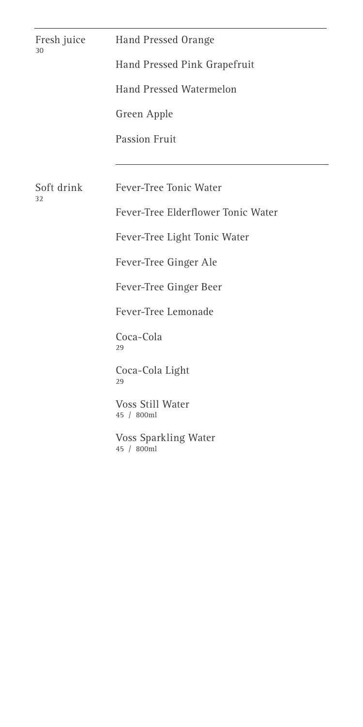| Fresh juice<br>30 | Hand Pressed Orange                |
|-------------------|------------------------------------|
|                   | Hand Pressed Pink Grapefruit       |
|                   | <b>Hand Pressed Watermelon</b>     |
|                   | Green Apple                        |
|                   | <b>Passion Fruit</b>               |
|                   |                                    |
| Soft drink<br>32  | Fever-Tree Tonic Water             |
|                   | Fever-Tree Elderflower Tonic Water |
|                   | Fever-Tree Light Tonic Water       |
|                   | Fever-Tree Ginger Ale              |
|                   | Fever-Tree Ginger Beer             |
|                   | Fever-Tree Lemonade                |
|                   | Coca-Cola<br>29                    |
|                   | Coca-Cola Light<br>29              |
|                   | Voss Still Water<br>45 / 800ml     |
|                   | Voss Sparkling Water<br>45 / 800ml |
|                   |                                    |
|                   |                                    |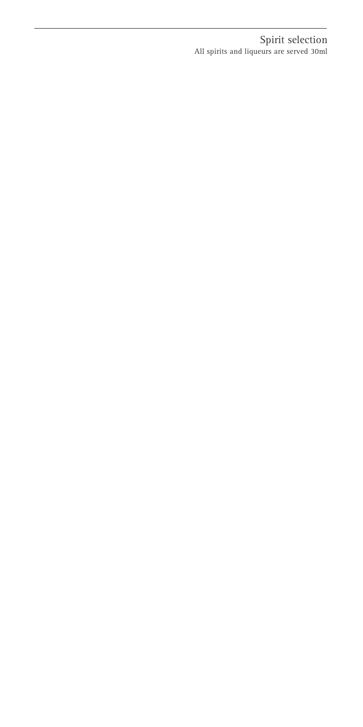Spirit selection All spirits and liqueurs are served 30ml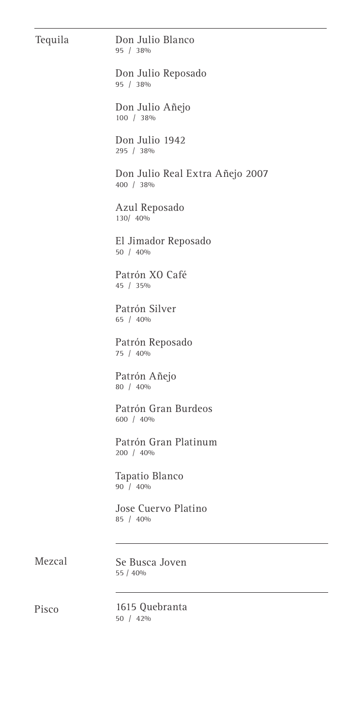| Tequila | Don Julio Blanco<br>95 / 38%                 |
|---------|----------------------------------------------|
|         | Don Julio Reposado<br>95 / 38%               |
|         | Don Julio Añejo<br>100 / 38%                 |
|         | Don Julio 1942<br>295 / 38%                  |
|         | Don Julio Real Extra Añejo 2007<br>400 / 38% |
|         | Azul Reposado<br>130/ 40%                    |
|         | El Jimador Reposado<br>50 / 40%              |
|         | Patrón XO Café<br>45 / 35%                   |
|         | Patrón Silver<br>65 / 40%                    |
|         | Patrón Reposado<br>75 / 40%                  |
|         | Patrón Añejo<br>80 / 40%                     |
|         | Patrón Gran Burdeos<br>600 / 40%             |
|         | Patrón Gran Platinum<br>200 / 40%            |
|         | Tapatio Blanco<br>90 / 40%                   |
|         | Jose Cuervo Platino<br>85 / 40%              |
| Mezcal  | Se Busca Joven<br>55 / 40%                   |
| Pisco   | 1615 Quebranta<br>50 / 42%                   |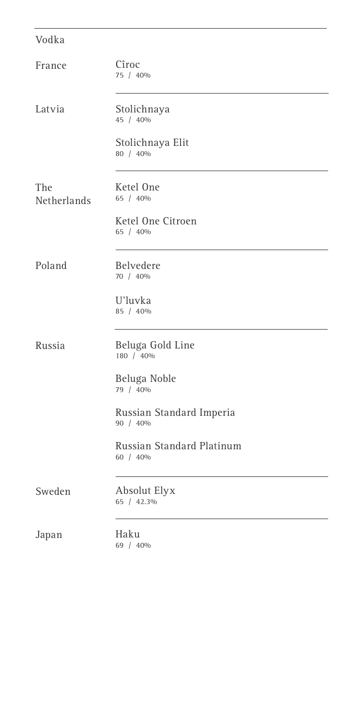# Cîroc 75 / 40% Stolichnaya 45 / 40% Stolichnaya Elit 80 / 40% Ketel One 65 / 40% Ketel One Citroen 65 / 40% Belvedere 70 / 40% U'luvka 85 / 40% Beluga Gold Line 180 / 40% Beluga Noble 79 / 40% Russian Standard Imperia 90 / 40% Russian Standard Platinum 60 / 40% Absolut Elyx 65 / 42.3% Latvia The Netherlands Poland Russia Sweden Vodka France

Japan

Haku 69 / 40%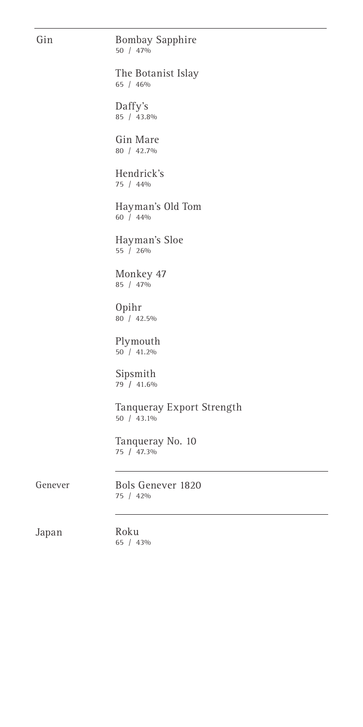## Gin

#### Bombay Sapphire 50 / 47%

The Botanist Islay 65 / 46%

Daffy's 85 / 43.8%

Gin Mare 80 / 42.7%

Hendrick's 75 / 44%

Hayman's Old Tom 60 / 44%

Hayman's Sloe 55 / 26%

Monkey 47 85 / 47%

Opihr 80 / 42.5%

Plymouth 50 / 41.2%

Sipsmith 79 **/** 41.6%

Tanqueray Export Strength 50 / 43.1%

Tanqueray No. 10 75 **/** 47.3%

Genever

Bols Genever 1820 75 / 42%

Japan

Roku 65 / 43%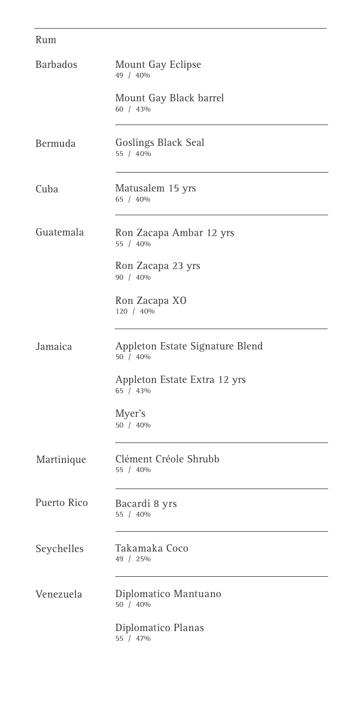## Rum

| <b>Barbados</b> | Mount Gay Eclipse<br>49 / 40%               |
|-----------------|---------------------------------------------|
|                 | Mount Gay Black barrel<br>60 / 43%          |
| Bermuda         | Goslings Black Seal<br>55 / 40%             |
| Cuba            | Matusalem 15 yrs<br>65 / 40%                |
| Guatemala       | Ron Zacapa Ambar 12 yrs<br>55 / 40%         |
|                 | Ron Zacapa 23 yrs<br>90 / 40%               |
|                 | Ron Zacapa XO<br>120 / 40%                  |
| Jamaica         | Appleton Estate Signature Blend<br>50 / 40% |
|                 | Appleton Estate Extra 12 yrs<br>65 / 43%    |
|                 | Myer's<br>50 / 40%                          |
| Martinique      | Clément Créole Shrubb<br>55 / 40%           |
| Puerto Rico     | Bacardi 8 yrs<br>55 / 40%                   |
| Seychelles      | Takamaka Coco<br>49 / 25%                   |
| Venezuela       | Diplomatico Mantuano<br>50 / 40%            |
|                 | Diplomatico Planas<br>55 / 47%              |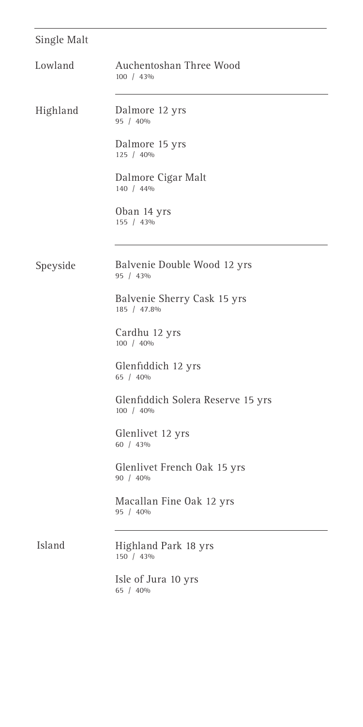# Single Malt

| Lowland  | Auchentoshan Three Wood<br>100 / 43%           |
|----------|------------------------------------------------|
| Highland | Dalmore 12 yrs<br>95 / 40%                     |
|          | Dalmore 15 yrs<br>125 / 40%                    |
|          | Dalmore Cigar Malt<br>140 / 44%                |
|          | Oban 14 yrs<br>155 / 43%                       |
|          |                                                |
| Speyside | Balvenie Double Wood 12 yrs<br>95 / 43%        |
|          | Balvenie Sherry Cask 15 yrs<br>185 / 47.8%     |
|          | Cardhu 12 yrs<br>100 / 40%                     |
|          | Glenfiddich 12 yrs<br>65 / 40%                 |
|          | Glenfiddich Solera Reserve 15 yrs<br>100 / 40% |
|          | Glenlivet 12 yrs<br>60 / 43%                   |
|          | Glenlivet French Oak 15 yrs<br>90 / 40%        |
|          | Macallan Fine Oak 12 yrs<br>95 / 40%           |
| Island   | Highland Park 18 yrs<br>150 / 43%              |
|          | Isle of Jura 10 yrs<br>65 / 40%                |

 $\overline{\phantom{a}}$ 

÷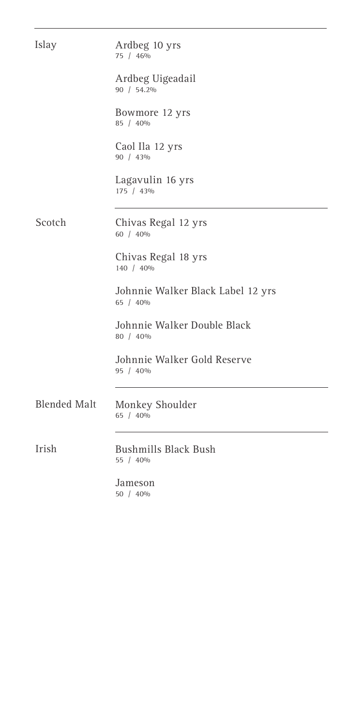| Islay               | Ardbeg 10 yrs<br>75 / 46%                     |
|---------------------|-----------------------------------------------|
|                     | Ardbeg Uigeadail<br>90 / 54.2%                |
|                     | Bowmore 12 yrs<br>85 / 40%                    |
|                     | Caol Ila 12 yrs<br>90 / 43%                   |
|                     | Lagavulin 16 yrs<br>175 / 43%                 |
| Scotch              | Chivas Regal 12 yrs<br>60 / 40%               |
|                     | Chivas Regal 18 yrs<br>140 / 40%              |
|                     | Johnnie Walker Black Label 12 yrs<br>65 / 40% |
|                     | Johnnie Walker Double Black<br>80 / 40%       |
|                     | Johnnie Walker Gold Reserve<br>95 / 40%       |
| <b>Blended Malt</b> | Monkey Shoulder<br>65 / 40%                   |
| Irish               | <b>Bushmills Black Bush</b><br>55 / 40%       |
|                     | Jameson<br>50 / 40%                           |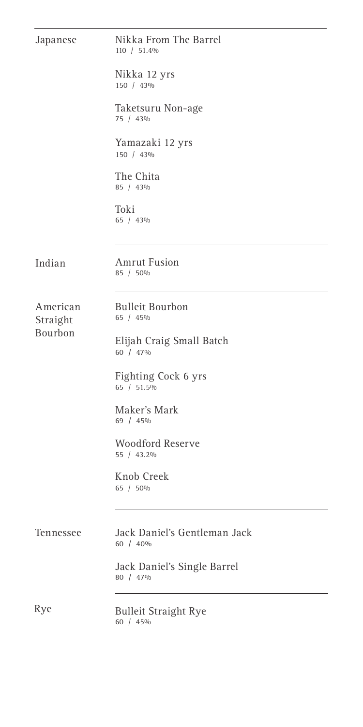| Japanese             | Nikka From The Barrel<br>110 / 51.4%     |
|----------------------|------------------------------------------|
|                      | Nikka 12 yrs<br>150 / 43%                |
|                      | Taketsuru Non-age<br>75 / 43%            |
|                      | Yamazaki 12 yrs<br>150 / 43%             |
|                      | The Chita<br>85 / 43%                    |
|                      | Toki<br>65 / 43%                         |
| Indian               | <b>Amrut Fusion</b><br>85 / 50%          |
| American<br>Straight | <b>Bulleit Bourbon</b><br>65 / 45%       |
| Bourbon              | Elijah Craig Small Batch<br>60 / 47%     |
|                      | Fighting Cock 6 yrs<br>65 / 51.5%        |
|                      | Maker's Mark<br>69 / 45%                 |
|                      | <b>Woodford Reserve</b><br>55 / 43.2%    |
|                      | Knob Creek<br>65 / 50%                   |
| Tennessee            | Jack Daniel's Gentleman Jack<br>60 / 40% |
|                      | Jack Daniel's Single Barrel<br>80 / 47%  |
| Rye                  | <b>Bulleit Straight Rye</b><br>60 / 45%  |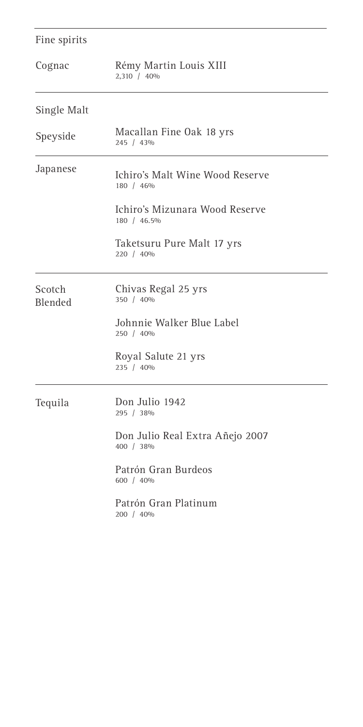| Fine spirits      |                                               |  |  |
|-------------------|-----------------------------------------------|--|--|
| Cognac            | Rémy Martin Louis XIII<br>2,310 / 40%         |  |  |
| Single Malt       |                                               |  |  |
| Speyside          | Macallan Fine Oak 18 yrs<br>245 / 43%         |  |  |
| Japanese          | Ichiro's Malt Wine Wood Reserve<br>180 / 46%  |  |  |
|                   | Ichiro's Mizunara Wood Reserve<br>180 / 46.5% |  |  |
|                   | Taketsuru Pure Malt 17 yrs<br>220 / 40%       |  |  |
| Scotch<br>Blended | Chivas Regal 25 yrs<br>350 / 40%              |  |  |
|                   | Johnnie Walker Blue Label<br>250 / 40%        |  |  |
|                   | Royal Salute 21 yrs<br>235 / 40%              |  |  |
| Tequila           | Don Julio 1942<br>295 / 38%                   |  |  |
|                   | Don Julio Real Extra Añejo 2007<br>400 / 38%  |  |  |
|                   | Patrón Gran Burdeos<br>600 / 40%              |  |  |
|                   | Patrón Gran Platinum<br>200 / 40%             |  |  |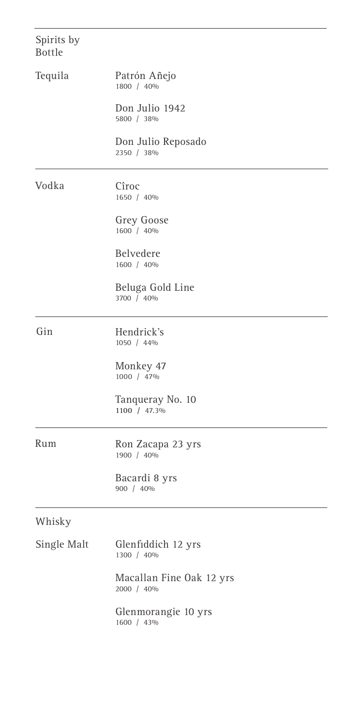| Spirits by<br><b>Bottle</b> |                                        |
|-----------------------------|----------------------------------------|
| Tequila                     | Patrón Añejo<br>1800 / 40%             |
|                             | Don Julio 1942<br>5800 / 38%           |
|                             | Don Julio Reposado<br>2350 / 38%       |
| Vodka                       | Cîroc<br>1650 / 40%                    |
|                             | <b>Grey Goose</b><br>1600 / 40%        |
|                             | Belvedere<br>1600 / 40%                |
|                             | Beluga Gold Line<br>3700 / 40%         |
| Gin                         | Hendrick's<br>1050 / 44%               |
|                             | Monkey 47<br>1000 / 47%                |
|                             | Tanqueray No. 10<br>1100 / 47.3%       |
| Rum                         | Ron Zacapa 23 yrs<br>1900 / 40%        |
|                             | Bacardi 8 yrs<br>900 / 40%             |
| Whisky                      |                                        |
| Single Malt                 | Glenfiddich 12 yrs<br>1300 / 40%       |
|                             | Macallan Fine Oak 12 yrs<br>2000 / 40% |
|                             | Glenmorangie 10 yrs<br>1600 / 43%      |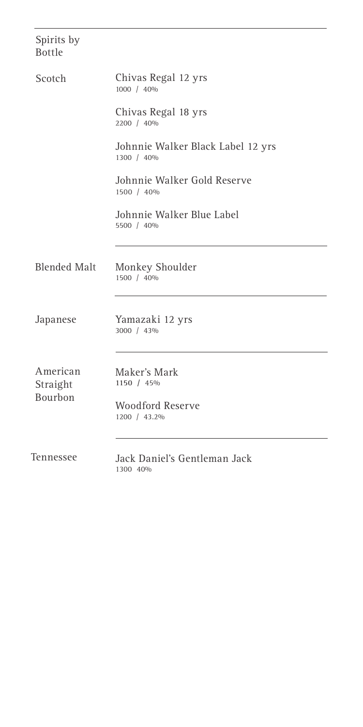| Spirits by<br><b>Bottle</b>     |                                                 |
|---------------------------------|-------------------------------------------------|
| Scotch                          | Chivas Regal 12 yrs<br>1000 / 40%               |
|                                 | Chivas Regal 18 yrs<br>2200 / 40%               |
|                                 | Johnnie Walker Black Label 12 yrs<br>1300 / 40% |
|                                 | Johnnie Walker Gold Reserve<br>1500 / 40%       |
|                                 | Johnnie Walker Blue Label<br>5500 / 40%         |
| <b>Blended Malt</b>             | Monkey Shoulder<br>1500 / 40%                   |
| Japanese                        | Yamazaki 12 yrs<br>3000 / 43%                   |
| American<br>Straight<br>Bourbon | Maker's Mark<br>1150 / 45%                      |
|                                 | <b>Woodford Reserve</b><br>1200 / 43.2%         |
| Tennessee                       | Jack Daniel's Gentleman Jack<br>1300 40%        |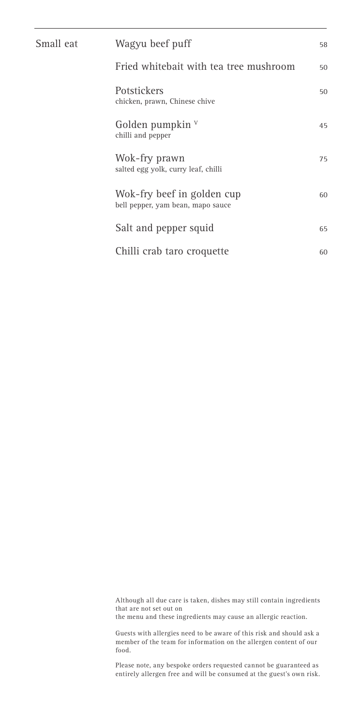| Small eat | Wagyu beef puff                                                 |    |
|-----------|-----------------------------------------------------------------|----|
|           | Fried whitebait with tea tree mushroom                          | 50 |
|           | <b>Potstickers</b><br>chicken, prawn, Chinese chive             | 50 |
|           | Golden pumpkin $V$<br>chilli and pepper                         | 45 |
|           | Wok-fry prawn<br>salted egg yolk, curry leaf, chilli            | 75 |
|           | Wok-fry beef in golden cup<br>bell pepper, yam bean, mapo sauce | 60 |
|           | Salt and pepper squid                                           | 65 |
|           | Chilli crab taro croquette                                      | 60 |
|           |                                                                 |    |

Although all due care is taken, dishes may still contain ingredients that are not set out on

the menu and these ingredients may cause an allergic reaction.

Guests with allergies need to be aware of this risk and should ask a member of the team for information on the allergen content of our food.

Please note, any bespoke orders requested cannot be guaranteed as entirely allergen free and will be consumed at the guest's own risk.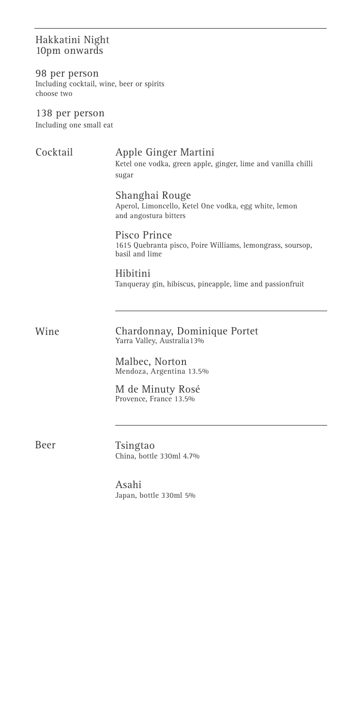## Hakkatini Night 10pm onwards

98 per person Including cocktail, wine, beer or spirits choose two

138 per person Including one small eat

## Cocktail

## Apple Ginger Martini

Ketel one vodka, green apple, ginger, lime and vanilla chilli sugar

Shanghai Rouge

Aperol, Limoncello, Ketel One vodka, egg white, lemon and angostura bitters

## Pisco Prince

1615 Quebranta pisco, Poire Williams, lemongrass, soursop, basil and lime

Hibitini Tanqueray gin, hibiscus, pineapple, lime and passionfruit

Chardonnay, Dominique Portet Yarra Valley, Australia13% Wine

> Malbec, Norton Mendoza, Argentina 13.5%

M de Minuty Rosé Provence, France 13.5%

Beer

Tsingtao China, bottle 330ml 4.7%

Asahi Japan, bottle 330ml 5%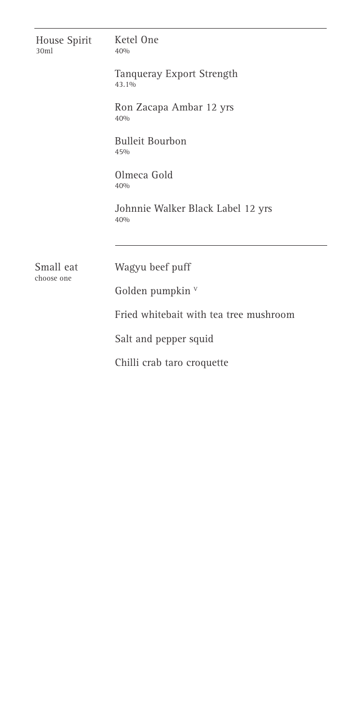| House Spirit<br>30ml | Ketel One<br>40%                         |  |  |
|----------------------|------------------------------------------|--|--|
|                      | Tanqueray Export Strength<br>43.1%       |  |  |
|                      | Ron Zacapa Ambar 12 yrs<br>40%           |  |  |
|                      | <b>Bulleit Bourbon</b><br>45%            |  |  |
|                      | Olmeca Gold<br>40%                       |  |  |
|                      | Johnnie Walker Black Label 12 yrs<br>40% |  |  |
| Small eat            | Wagyu beef puff                          |  |  |
| choose one           | Golden pumpkin v                         |  |  |
|                      | Fried whitebait with tea tree mushroom   |  |  |
|                      | Salt and pepper squid                    |  |  |
|                      | Chilli crab taro croquette               |  |  |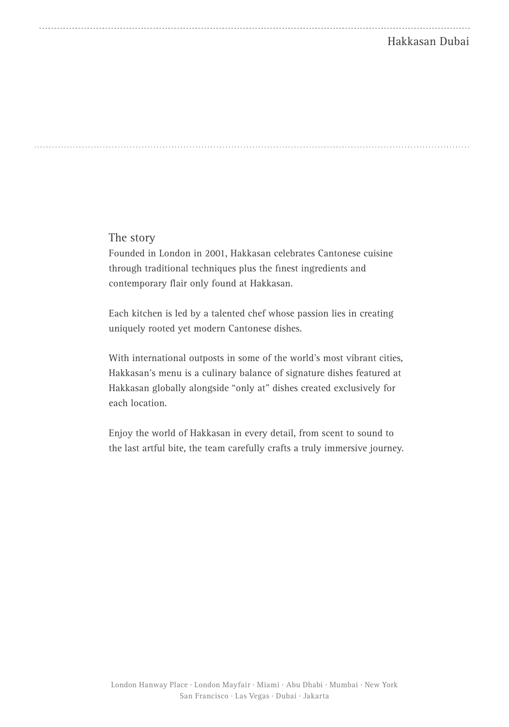## Hakkasan Dubai

The story

Founded in London in 2001, Hakkasan celebrates Cantonese cuisine through traditional techniques plus the finest ingredients and contemporary flair only found at Hakkasan.

Each kitchen is led by a talented chef whose passion lies in creating uniquely rooted yet modern Cantonese dishes.

With international outposts in some of the world's most vibrant cities, Hakkasan's menu is a culinary balance of signature dishes featured at Hakkasan globally alongside "only at" dishes created exclusively for each location.

Enjoy the world of Hakkasan in every detail, from scent to sound to the last artful bite, the team carefully crafts a truly immersive journey.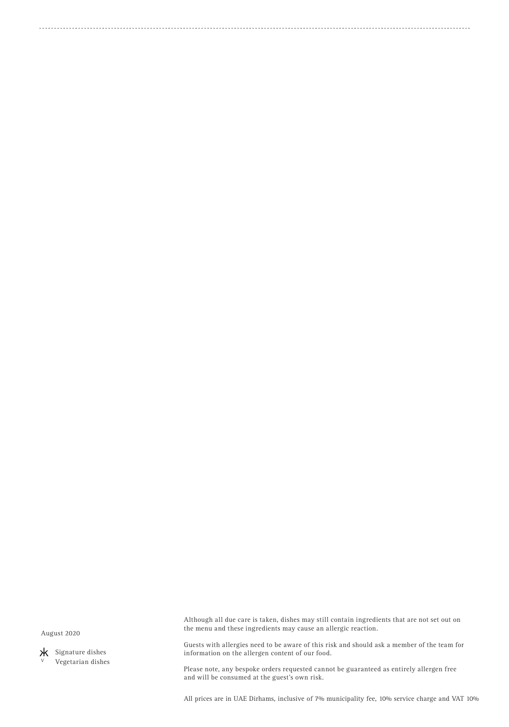August 2020

 Signature dishes Vegetarian dishes Although all due care is taken, dishes may still contain ingredients that are not set out on the menu and these ingredients may cause an allergic reaction.

Guests with allergies need to be aware of this risk and should ask a member of the team for information on the allergen content of our food.

Please note, any bespoke orders requested cannot be guaranteed as entirely allergen free and will be consumed at the guest's own risk.

All prices are in UAE Dirhams, inclusive of 7% municipality fee, 10% service charge and VAT 10%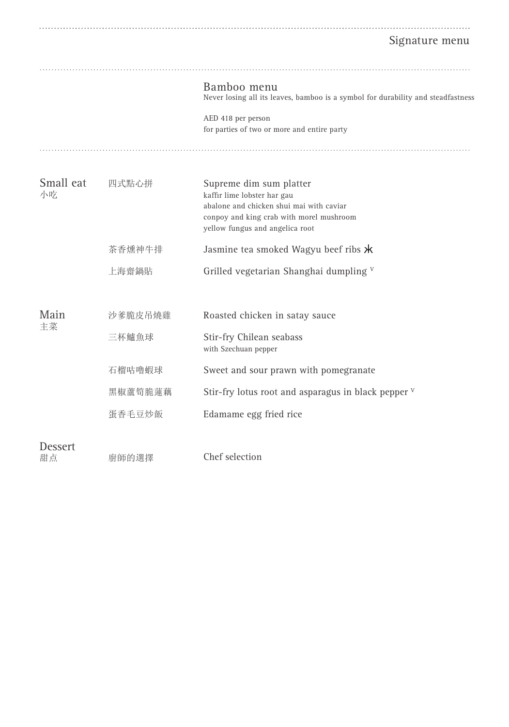# Signature menu

|                 |         | Bamboo menu<br>Never losing all its leaves, bamboo is a symbol for durability and steadfastness                                                                                   |
|-----------------|---------|-----------------------------------------------------------------------------------------------------------------------------------------------------------------------------------|
|                 |         | AED 418 per person<br>for parties of two or more and entire party                                                                                                                 |
|                 |         |                                                                                                                                                                                   |
| Small eat<br>小吃 | 四式點心拼   | Supreme dim sum platter<br>kaffir lime lobster har gau<br>abalone and chicken shui mai with caviar<br>conpoy and king crab with morel mushroom<br>yellow fungus and angelica root |
|                 | 茶香燻神牛排  | Jasmine tea smoked Wagyu beef ribs $\star$                                                                                                                                        |
|                 | 上海齋鍋貼   | Grilled vegetarian Shanghai dumpling V                                                                                                                                            |
| Main<br>主菜      | 沙爹脆皮吊燒雞 | Roasted chicken in satay sauce                                                                                                                                                    |
|                 | 三杯鱸魚球   | Stir-fry Chilean seabass<br>with Szechuan pepper                                                                                                                                  |
|                 | 石榴咕噜蝦球  | Sweet and sour prawn with pomegranate                                                                                                                                             |
|                 | 黑椒蘆筍脆蓮藕 | Stir-fry lotus root and asparagus in black pepper $V$                                                                                                                             |
|                 | 蛋香毛豆炒飯  | Edamame egg fried rice                                                                                                                                                            |
| Dessert<br>甜点   | 廚師的選擇   | Chef selection                                                                                                                                                                    |
|                 |         |                                                                                                                                                                                   |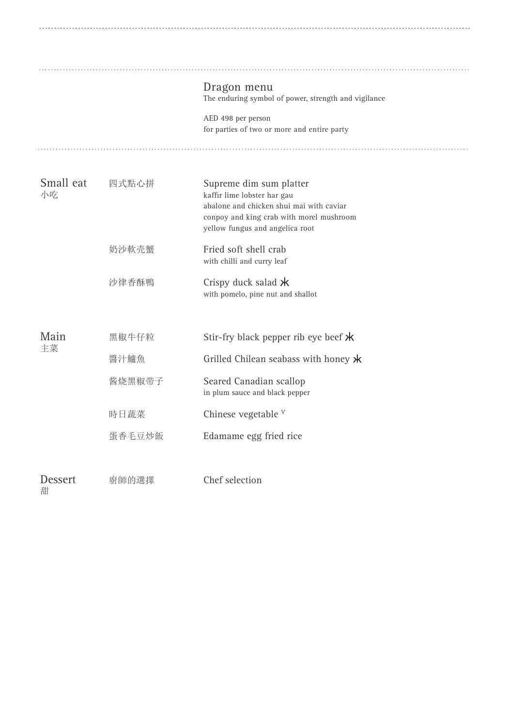|                     |               | Dragon menu<br>The enduring symbol of power, strength and vigilance                                                                                                               |
|---------------------|---------------|-----------------------------------------------------------------------------------------------------------------------------------------------------------------------------------|
|                     |               | AED 498 per person<br>for parties of two or more and entire party                                                                                                                 |
| Small eat<br>小吃     | 四式點心拼         | Supreme dim sum platter<br>kaffır lime lobster har gau<br>abalone and chicken shui mai with caviar<br>conpoy and king crab with morel mushroom<br>yellow fungus and angelica root |
|                     | 奶沙軟壳蟹         | Fried soft shell crab<br>with chilli and curry leaf                                                                                                                               |
|                     | 沙律香酥鴨         | Crispy duck salad $\star$<br>with pomelo, pine nut and shallot                                                                                                                    |
| Main<br>主菜          | 黑椒牛仔粒<br>醬汁鱸魚 | Stir-fry black pepper rib eye beef $\star$<br>Grilled Chilean seabass with honey $\star$                                                                                          |
|                     | 酱烧黑椒带子        | Seared Canadian scallop<br>in plum sauce and black pepper                                                                                                                         |
|                     | 時日蔬菜          | Chinese vegetable V                                                                                                                                                               |
|                     | 蛋香毛豆炒飯        | Edamame egg fried rice                                                                                                                                                            |
| <b>Dessert</b><br>甜 | 廚師的選擇         | Chef selection                                                                                                                                                                    |

. . . . . . . . . . . . . . . . . . . .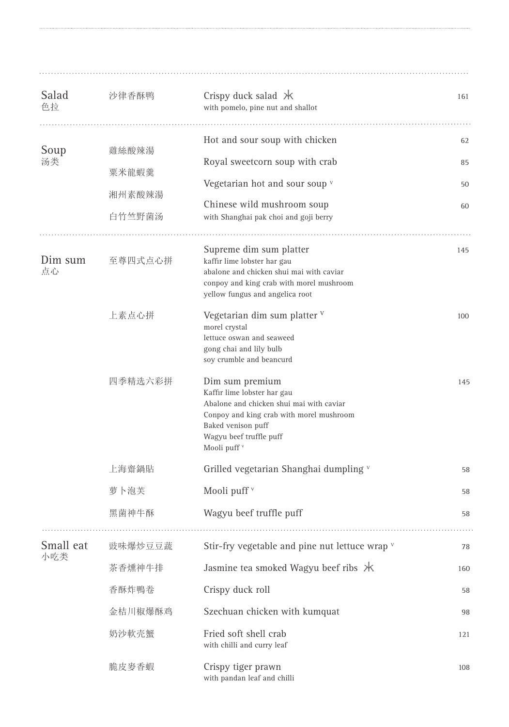| Salad<br>色拉      | 沙律香酥鸭                              | Crispy duck salad $*$<br>with pomelo, pine nut and shallot                                                                                                                                                         | 161                  |
|------------------|------------------------------------|--------------------------------------------------------------------------------------------------------------------------------------------------------------------------------------------------------------------|----------------------|
| Soup<br>汤类       | 雞絲酸辣湯<br>粟米龍蝦羹<br>湘州素酸辣湯<br>白竹竺野菌汤 | Hot and sour soup with chicken<br>Royal sweetcorn soup with crab<br>Vegetarian hot and sour soup v<br>Chinese wild mushroom soup<br>with Shanghai pak choi and goji berry                                          | 62<br>85<br>50<br>60 |
| Dim sum<br>点心    | 至尊四式点心拼                            | Supreme dim sum platter<br>kaffır lime lobster har gau<br>abalone and chicken shui mai with caviar<br>conpoy and king crab with morel mushroom<br>yellow fungus and angelica root                                  | 145                  |
|                  | 上素点心拼                              | Vegetarian dim sum platter $V$<br>morel crystal<br>lettuce oswan and seaweed<br>gong chai and lily bulb<br>soy crumble and beancurd                                                                                | 100                  |
|                  | 四季精选六彩拼                            | Dim sum premium<br>Kaffir lime lobster har gau<br>Abalone and chicken shui mai with caviar<br>Conpoy and king crab with morel mushroom<br>Baked venison puff<br>Wagyu beef truffle puff<br>Mooli puff <sup>v</sup> | 145                  |
|                  | 上海齋鍋貼                              | Grilled vegetarian Shanghai dumpling v                                                                                                                                                                             | 58                   |
|                  | 萝卜泡芙                               | Mooli puff <sup>v</sup>                                                                                                                                                                                            | 58                   |
|                  | 黑菌神牛酥                              | Wagyu beef truffle puff                                                                                                                                                                                            | 58                   |
| Small eat<br>小吃类 | 豉味爆炒豆豆蔬                            | Stir-fry vegetable and pine nut lettuce wrap v                                                                                                                                                                     | 78                   |
|                  | 茶香燻神牛排                             | Jasmine tea smoked Wagyu beef ribs X                                                                                                                                                                               | 160                  |
|                  | 香酥炸鴨卷                              | Crispy duck roll                                                                                                                                                                                                   | 58                   |
|                  | 金桔川椒爆酥鸡                            | Szechuan chicken with kumquat                                                                                                                                                                                      | 98                   |
|                  | 奶沙軟壳蟹                              | Fried soft shell crab<br>with chilli and curry leaf                                                                                                                                                                | 121                  |
|                  | 脆皮麥香蝦                              | Crispy tiger prawn<br>with pandan leaf and chilli                                                                                                                                                                  | 108                  |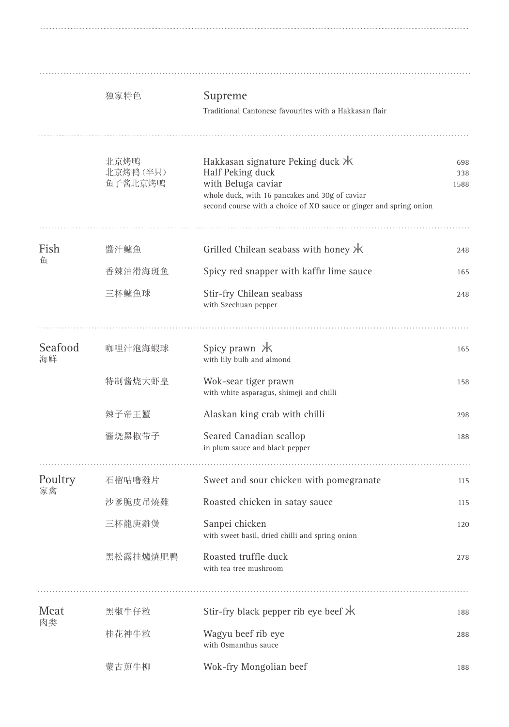|               | 独家特色                        | Supreme<br>Traditional Cantonese favourites with a Hakkasan flair                                                                                                                                    |                    |
|---------------|-----------------------------|------------------------------------------------------------------------------------------------------------------------------------------------------------------------------------------------------|--------------------|
|               | 北京烤鸭<br>北京烤鸭(半只)<br>鱼子酱北京烤鸭 | Hakkasan signature Peking duck $*$<br>Half Peking duck<br>with Beluga caviar<br>whole duck, with 16 pancakes and 30g of caviar<br>second course with a choice of XO sauce or ginger and spring onion | 698<br>338<br>1588 |
| Fish          | 醬汁鱸魚                        | Grilled Chilean seabass with honey $H$                                                                                                                                                               | 248                |
| 鱼             | 香辣油滑海斑鱼                     | Spicy red snapper with kaffir lime sauce                                                                                                                                                             | 165                |
|               | 三杯鱸魚球                       | Stir-fry Chilean seabass<br>with Szechuan pepper                                                                                                                                                     | 248                |
| Seafood<br>海鲜 | 咖哩汁泡海蝦球                     | Spicy prawn $*$<br>with lily bulb and almond                                                                                                                                                         | 165                |
|               | 特制酱烧大虾皇                     | Wok-sear tiger prawn<br>with white asparagus, shimeji and chilli                                                                                                                                     | 158                |
|               | 辣子帝王蟹                       | Alaskan king crab with chilli                                                                                                                                                                        | 298                |
|               | 酱烧黑椒带子                      | Seared Canadian scallop<br>in plum sauce and black pepper                                                                                                                                            | 188                |
| Poultry       | 石榴咕噜雞片                      | Sweet and sour chicken with pomegranate                                                                                                                                                              | 115                |
| 家禽            | 沙爹脆皮吊燒雞                     | Roasted chicken in satay sauce                                                                                                                                                                       | 115                |
|               | 三杯龍庚雞煲                      | Sanpei chicken<br>with sweet basil, dried chilli and spring onion                                                                                                                                    | 120                |
|               | 黑松露挂爐焼肥鴨                    | Roasted truffle duck<br>with tea tree mushroom                                                                                                                                                       | 278                |
| Meat<br>肉类    | 黑椒牛仔粒                       | Stir-fry black pepper rib eye beef $*$                                                                                                                                                               | 188                |
|               | 桂花神牛粒                       | Wagyu beef rib eye<br>with Osmanthus sauce                                                                                                                                                           | 288                |
|               | 蒙古煎牛柳                       | Wok-fry Mongolian beef                                                                                                                                                                               | 188                |